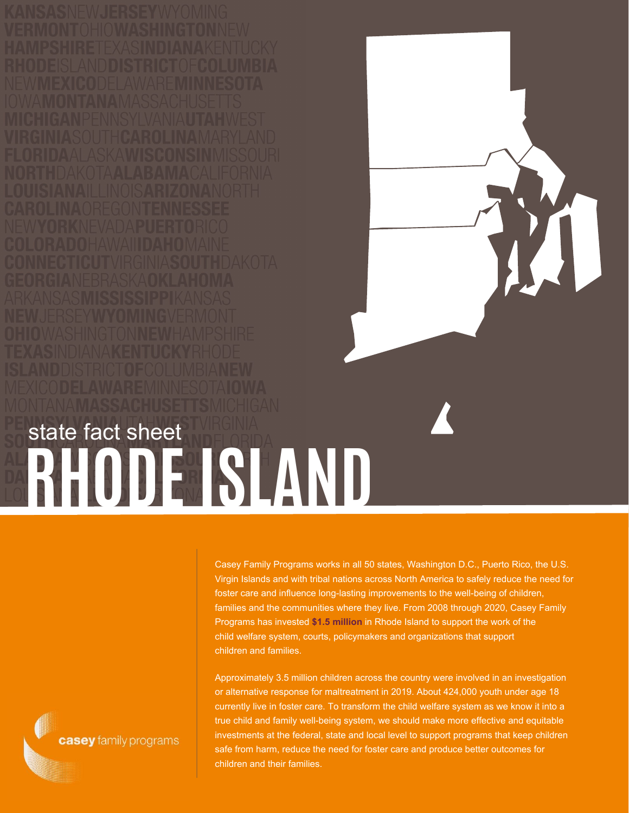## **RHODEISLAND** state fact sheet

Casey Family Programs works in all 50 states, Washington D.C., Puerto Rico, the U.S. Virgin Islands and with tribal nations across North America to safely reduce the need for foster care and influence long-lasting improvements to the well-being of children, families and the communities where they live. From 2008 through 2020, Casey Family Programs has invested **\$1.5 million** in Rhode Island to support the work of the child welfare system, courts, policymakers and organizations that support children and families.

Approximately 3.5 million children across the country were involved in an investigation or alternative response for maltreatment in 2019. About 424,000 youth under age 18 currently live in foster care. To transform the child welfare system as we know it into a true child and family well-being system, we should make more effective and equitable investments at the federal, state and local level to support programs that keep children safe from harm, reduce the need for foster care and produce better outcomes for children and their families.

casey family programs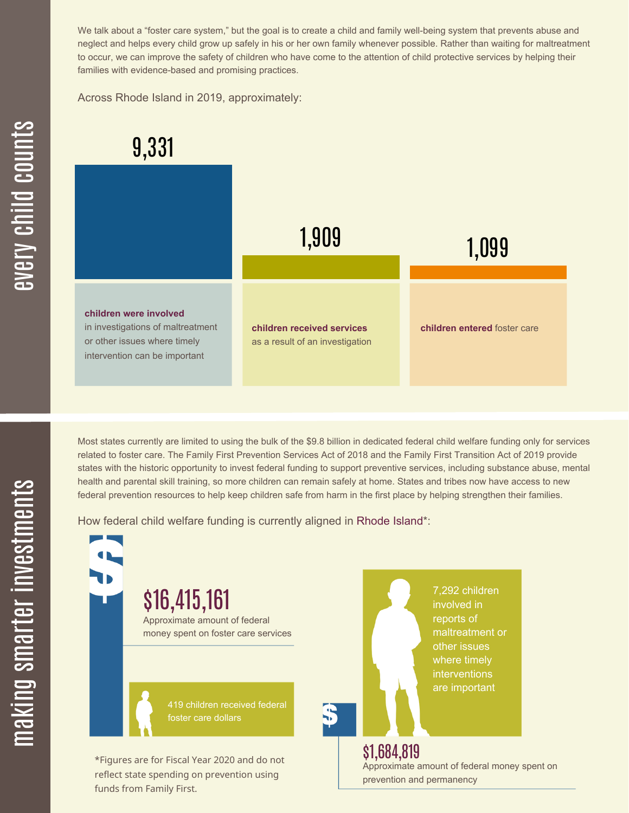We talk about a "foster care system," but the goal is to create a child and family well-being system that prevents abuse and neglect and helps every child grow up safely in his or her own family whenever possible. Rather than waiting for maltreatment to occur, we can improve the safety of children who have come to the attention of child protective services by helping their families with evidence-based and promising practices.

Across Rhode Island in 2019, approximately:



Most states currently are limited to using the bulk of the \$9.8 billion in dedicated federal child welfare funding only for services related to foster care. The Family First Prevention Services Act of 2018 and the Family First Transition Act of 2019 provide states with the historic opportunity to invest federal funding to support preventive services, including substance abuse, mental health and parental skill training, so more children can remain safely at home. States and tribes now have access to new federal prevention resources to help keep children safe from harm in the first place by helping strengthen their families.

How federal child welfare funding is currently aligned in Rhode Island\*:



 $\mathbf{S}$ 

 $\mathbf \Xi$ **CO** kin gs $\mathbf \Xi$ **CO** rtæ r in  $\, >$ c جا  $\mathbf \Xi$ c  $\blacksquare$  $\mathbf{S}$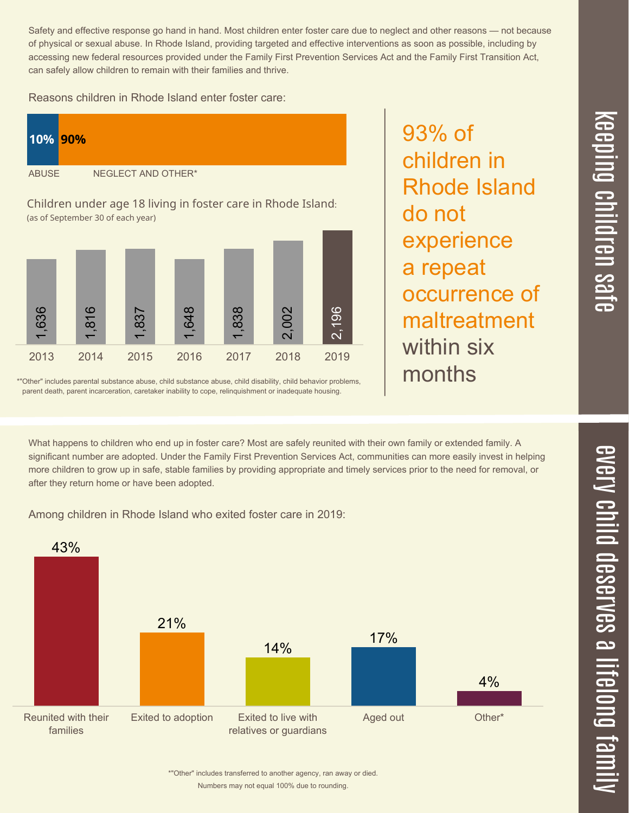$\overline{\mathbf \Theta}$  $\overline{\mathbf{C}}$ <u>pin</u>  $\overline{\mathbf{C}}$  $\overline{\mathbf{C}}$  $\equiv$  $\overline{\mathbf{c}}$  $\overline{\phantom{0}}$  $\boldsymbol{\mathcal{O}}$ a  $\overrightarrow{\mathbf{e}}$ 

 $\overline{\phantom{1}}$ 

Safety and effective response go hand in hand. Most children enter foster care due to neglect and other reasons — not because of physical or sexual abuse. In Rhode Island, providing targeted and effective interventions as soon as possible, including by accessing new federal resources provided under the Family First Prevention Services Act and the Family First Transition Act, can safely allow children to remain with their families and thrive.

93% of

do not

children in

experience

a repeat

within six

months

Rhode Island

occurrence of

maltreatment

Reasons children in Rhode Island enter foster care:



\*"Other" includes parental substance abuse, child substance abuse, child disability, child behavior problems, parent death, parent incarceration, caretaker inability to cope, relinquishment or inadequate housing.

What happens to children who end up in foster care? Most are safely reunited with their own family or extended family. A significant number are adopted. Under the Family First Prevention Services Act, communities can more easily invest in helping more children to grow up in safe, stable families by providing appropriate and timely services prior to the need for removal, or after they return home or have been adopted.

Among children in Rhode Island who exited foster care in 2019:



Numbers may not equal 100% due to rounding. \*"Other" includes transferred to another agency, ran away or died.